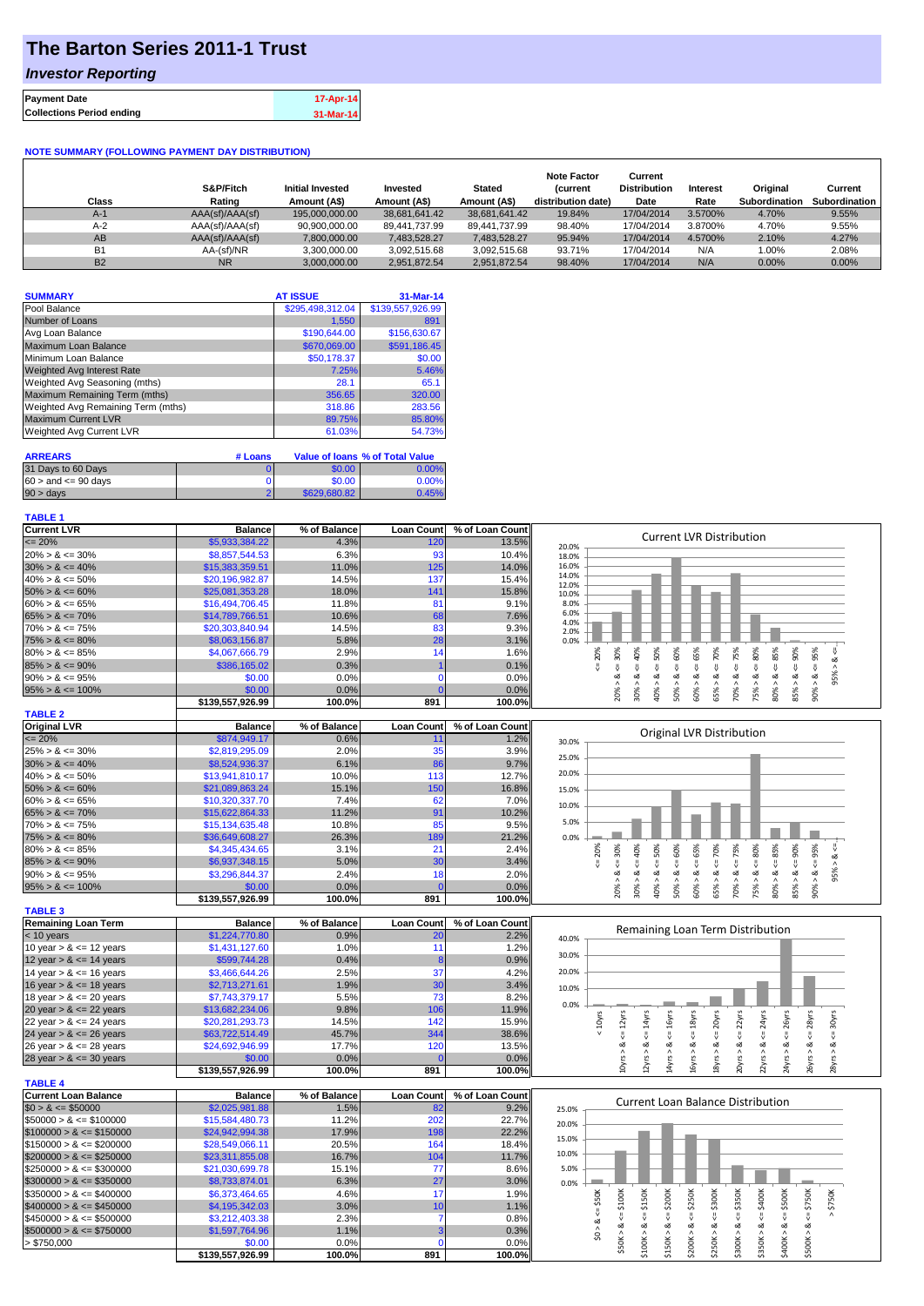# **The Barton Series 2011-1 Trust**

### *Investor Reporting*

| <b>Payment Date</b>              | 17-Apr-14 |
|----------------------------------|-----------|
| <b>Collections Period ending</b> | 31-Mar-14 |

#### **NOTE SUMMARY (FOLLOWING PAYMENT DAY DISTRIBUTION)**

| Class     | S&P/Fitch<br>Rating | <b>Initial Invested</b><br>Amount (A\$) | Invested<br>Amount (A\$) | <b>Stated</b><br>Amount (A\$) | <b>Note Factor</b><br><b>Current</b><br>distribution date) | Current<br><b>Distribution</b><br>Date | Interest<br>Rate | Original<br><b>Subordination</b> | Current<br>Subordination |
|-----------|---------------------|-----------------------------------------|--------------------------|-------------------------------|------------------------------------------------------------|----------------------------------------|------------------|----------------------------------|--------------------------|
| $A-1$     | AAA(sf)/AAA(sf)     | 195.000.000.00                          | 38.681.641.42            | 38,681,641.42                 | 19.84%                                                     | 17/04/2014                             | 3.5700%          | 4.70%                            | 9.55%                    |
| $A-2$     | AAA(sf)/AAA(sf)     | 90.900.000.00                           | 89.441.737.99            | 89.441.737.99                 | 98.40%                                                     | 17/04/2014                             | 3.8700%          | 4.70%                            | 9.55%                    |
| AB        | AAA(sf)/AAA(sf)     | 7,800,000.00                            | 7.483.528.27             | 7,483,528.27                  | 95.94%                                                     | 17/04/2014                             | 4.5700%          | 2.10%                            | 4.27%                    |
| <b>B1</b> | AA-(sf)/NR          | 3,300,000.00                            | 3.092.515.68             | 3,092,515.68                  | 93.71%                                                     | 17/04/2014                             | N/A              | 1.00%                            | 2.08%                    |
| <b>B2</b> | <b>NR</b>           | 3.000.000.00                            | 2.951.872.54             | 2.951.872.54                  | 98.40%                                                     | 17/04/2014                             | N/A              | $0.00\%$                         | 0.00%                    |

| <b>SUMMARY</b>                     | <b>AT ISSUE</b>  | 31-Mar-14        |
|------------------------------------|------------------|------------------|
| Pool Balance                       | \$295,498,312.04 | \$139,557,926.99 |
| Number of Loans                    | 1,550            | 891              |
| Avg Loan Balance                   | \$190,644.00     | \$156,630.67     |
| Maximum Loan Balance               | \$670,069.00     | \$591,186.45     |
| Minimum Loan Balance               | \$50,178.37      | \$0.00           |
| Weighted Avg Interest Rate         | 7.25%            | 5.46%            |
| Weighted Avg Seasoning (mths)      | 28.1             | 65.1             |
| Maximum Remaining Term (mths)      | 356.65           | 320.00           |
| Weighted Avg Remaining Term (mths) | 318.86           | 283.56           |
| <b>Maximum Current LVR</b>         | 89.75%           | 85.80%           |
| Weighted Avg Current LVR           | 61.03%           | 54.73%           |

| <b>ARREARS</b>            | # Loans |              | Value of Ioans % of Total Value |
|---------------------------|---------|--------------|---------------------------------|
| 31 Days to 60 Days        |         | \$0.00       | 0.00%                           |
| $60 >$ and $\leq 90$ days |         | \$0.00       | $0.00\%$                        |
| $90 > \text{days}$        |         | \$629,680.82 | 0.45%                           |

#### **TABLE 1**

| <b>Current LVR</b>                                                                                                                                                                                                                                                                                                 | <b>Balance</b>             | % of Balance   | <b>Loan Count</b>   | % of Loan Count | <b>Current LVR Distribution</b>                                                                                                                                              |
|--------------------------------------------------------------------------------------------------------------------------------------------------------------------------------------------------------------------------------------------------------------------------------------------------------------------|----------------------------|----------------|---------------------|-----------------|------------------------------------------------------------------------------------------------------------------------------------------------------------------------------|
| $= 20%$                                                                                                                                                                                                                                                                                                            | \$5,933,384.22             | 4.3%           | 120                 | 13.5%           | 20.0%                                                                                                                                                                        |
| $20\% > 8 \le 30\%$                                                                                                                                                                                                                                                                                                | \$8,857,544.53             | 6.3%           | 93                  | 10.4%           | 18.0%                                                                                                                                                                        |
| $30\% > 8 \le 40\%$                                                                                                                                                                                                                                                                                                | \$15,383,359.51            | 11.0%          | 125                 | 14.0%           | 16.0%                                                                                                                                                                        |
| $40\% > 8 \le 50\%$                                                                                                                                                                                                                                                                                                | \$20,196,982.87            | 14.5%          | 137                 | 15.4%           | 14.0%                                                                                                                                                                        |
| $50\% > 8 \le 60\%$                                                                                                                                                                                                                                                                                                | \$25,081,353.28            | 18.0%          | 141                 | 15.8%           | 12.0%<br>10.0%                                                                                                                                                               |
| $60\% > 8 \le 65\%$                                                                                                                                                                                                                                                                                                | \$16,494,706.45            | 11.8%          | 81                  | 9.1%            | 8.0%                                                                                                                                                                         |
| $65\% > 8 \le 70\%$                                                                                                                                                                                                                                                                                                | \$14,789,766.51            | 10.6%          | 68                  | 7.6%            | 6.0%                                                                                                                                                                         |
| $70\% > 8 \le 75\%$                                                                                                                                                                                                                                                                                                | \$20,303,840.94            | 14.5%          | 83                  | 9.3%            | 4.0%                                                                                                                                                                         |
| $75\% > 8 \le 80\%$                                                                                                                                                                                                                                                                                                | \$8,063,156.87             | 5.8%           | 28                  | 3.1%            | 2.0%<br>0.0%                                                                                                                                                                 |
| $80\% > 8 \le 85\%$                                                                                                                                                                                                                                                                                                | \$4,067,666.79             | 2.9%           | 14                  | 1.6%            | 50%<br>80%<br>20%<br>60%<br>70%                                                                                                                                              |
| $85\% > 8 \le 90\%$                                                                                                                                                                                                                                                                                                | \$386,165.02               | 0.3%           |                     | 0.1%            | $<=75%$<br>$80\% > 8 <= 85\%$<br>$<=30%$<br>$<=65%$<br>$<=40\%$<br>$<=90%$<br>$<= 95\%$<br>$95% > 8 <=$                                                                      |
| $90\% > 8 \le 95\%$                                                                                                                                                                                                                                                                                                | \$0.00                     | 0.0%           | $\mathbf 0$         | 0.0%            | $\<=$<br>$\<=$<br>IJ,<br>IJ,<br>ઌ<br>ವ                                                                                                                                       |
|                                                                                                                                                                                                                                                                                                                    | \$0.00                     | 0.0%           | $\mathbf{0}$        | 0.0%            |                                                                                                                                                                              |
| $95\% > 8 \le 100\%$                                                                                                                                                                                                                                                                                               |                            | 100.0%         | 891                 | 100.0%          | $90\% > 8.$<br>20% ><br>$30\%$ ><br>40% ><br>60% ><br>65%<br>70% ><br>75%<br>85% ><br>50% >                                                                                  |
|                                                                                                                                                                                                                                                                                                                    | \$139,557,926.99           |                |                     |                 |                                                                                                                                                                              |
| <b>TABLE 2</b>                                                                                                                                                                                                                                                                                                     |                            |                |                     |                 |                                                                                                                                                                              |
| <b>Original LVR</b>                                                                                                                                                                                                                                                                                                | <b>Balance</b>             | % of Balance   | <b>Loan Count</b>   | % of Loan Count | Original LVR Distribution                                                                                                                                                    |
| $= 20%$                                                                                                                                                                                                                                                                                                            | \$874,949.17               | 0.6%           | 11                  | 1.2%            | 30.0%                                                                                                                                                                        |
| $25\% > 8 \le 30\%$                                                                                                                                                                                                                                                                                                | \$2,819,295.09             | 2.0%           | 35                  | 3.9%            | 25.0%                                                                                                                                                                        |
| $30\% > 8 \le 40\%$                                                                                                                                                                                                                                                                                                | \$8,524,936.37             | 6.1%           | 86                  | 9.7%            |                                                                                                                                                                              |
| $40\% > 8 \le 50\%$                                                                                                                                                                                                                                                                                                | \$13,941,810.17            | 10.0%          | 113                 | 12.7%           | 20.0%                                                                                                                                                                        |
| $50\% > 8 \le 60\%$                                                                                                                                                                                                                                                                                                | \$21,089,863.24            | 15.1%          | 150                 | 16.8%           | 15.0%                                                                                                                                                                        |
| $60\% > 8 \le 65\%$                                                                                                                                                                                                                                                                                                | \$10,320,337.70            | 7.4%           | 62                  | 7.0%            | 10.0%                                                                                                                                                                        |
| $65\% > 8 \le 70\%$                                                                                                                                                                                                                                                                                                | \$15,622,864.33            | 11.2%          | 91                  | 10.2%           |                                                                                                                                                                              |
| $70\% > 8 \le 75\%$                                                                                                                                                                                                                                                                                                | \$15,134,635.48            | 10.8%          | 85                  | 9.5%            | 5.0%                                                                                                                                                                         |
| $75\% > 8 \le 80\%$                                                                                                                                                                                                                                                                                                | \$36,649,608.27            | 26.3%          | 189                 | 21.2%           | 0.0%                                                                                                                                                                         |
| $80\% > 8 \le 85\%$                                                                                                                                                                                                                                                                                                | \$4,345,434.65             | 3.1%           | 21                  | 2.4%            | 70%<br>20%<br>60%                                                                                                                                                            |
| $85\% > 8 \le 90\%$                                                                                                                                                                                                                                                                                                | \$6,937,348.15             | 5.0%           | 30                  | 3.4%            | $<=75%$<br>$<=80\%$<br>$<=$ 30%<br>$<=50%$<br>$<=65%$<br>$<= 90\%$<br>$<=95\%$<br>40%<br>₹<br>V                                                                              |
| $90\% > 8 \le 95\%$                                                                                                                                                                                                                                                                                                | \$3,296,844.37             | 2.4%           | 18                  | 2.0%            | $80\% > 8 <= 85\%$<br>95% > 8 <<br>ಷ<br>∞<br>ø<br>ø<br>ಷ<br>ಹ                                                                                                                |
| $95\% > 8 \le 100\%$                                                                                                                                                                                                                                                                                               | \$0.00                     | 0.0%           | $\sqrt{ }$          | 0.0%            | 20%<br>30%<br>40% ><br>60% ><br>70%<br>75%<br>85%<br>90%<br>50% ><br>65%                                                                                                     |
|                                                                                                                                                                                                                                                                                                                    | \$139,557,926.99           | 100.0%         | 891                 | 100.0%          |                                                                                                                                                                              |
| <b>TABLE 3</b>                                                                                                                                                                                                                                                                                                     |                            |                |                     |                 |                                                                                                                                                                              |
| <b>Remaining Loan Term</b>                                                                                                                                                                                                                                                                                         | <b>Balance</b>             | % of Balance   | <b>Loan Count</b>   | % of Loan Count |                                                                                                                                                                              |
| $<$ 10 years                                                                                                                                                                                                                                                                                                       | \$1,224,770.80             | 0.9%           | 20                  | 2.2%            | Remaining Loan Term Distribution                                                                                                                                             |
| 10 year $> 8 \le 12$ years                                                                                                                                                                                                                                                                                         | \$1,431,127.60             | 1.0%           | 11                  | 1.2%            | 40.0%                                                                                                                                                                        |
| 12 year $> 8 \le 14$ years                                                                                                                                                                                                                                                                                         | \$599,744.28               | 0.4%           |                     | 0.9%            | 30.0%                                                                                                                                                                        |
| 14 year $> 8 \le 16$ years                                                                                                                                                                                                                                                                                         | \$3,466,644.26             | 2.5%           | 37                  | 4.2%            | 20.0%                                                                                                                                                                        |
| 16 year $> 8 \le 18$ years                                                                                                                                                                                                                                                                                         | \$2,713,271.61             | 1.9%           | 30                  | 3.4%            |                                                                                                                                                                              |
|                                                                                                                                                                                                                                                                                                                    | \$7,743,379.17             | 5.5%           | 73                  | 8.2%            | 10.0%                                                                                                                                                                        |
| 18 year $> 8 \le 20$ years                                                                                                                                                                                                                                                                                         |                            |                |                     |                 | 0.0%                                                                                                                                                                         |
| 20 year $> 8 \le 22$ years                                                                                                                                                                                                                                                                                         | \$13,682,234.06            | 9.8%           | 106                 | 11.9%           |                                                                                                                                                                              |
| 22 year $> 8 \le 24$ years                                                                                                                                                                                                                                                                                         | \$20,281,293.73            | 14.5%          | 142<br>344          | 15.9%           | $\leq$ = 22 $\gamma$ rs<br>$\leq$ = 24yrs<br>$\leq$ = 28yrs<br>$\le$ = 14 $\gamma$ rs<br>$\le$ = 16 $yrs$<br>$\leq$ = 18 $yrs$<br>$\leq$ = 20 $\gamma$ rs<br>$< 10$ yrs      |
| 24 year $> 8 \le 26$ years                                                                                                                                                                                                                                                                                         | \$63,722,514.49            | 45.7%          |                     |                 |                                                                                                                                                                              |
| 26 year $> 8 \le 28$ years                                                                                                                                                                                                                                                                                         |                            |                |                     | 38.6%           |                                                                                                                                                                              |
|                                                                                                                                                                                                                                                                                                                    | \$24,692,946.99            | 17.7%          | 120                 | 13.5%           | ∞                                                                                                                                                                            |
|                                                                                                                                                                                                                                                                                                                    | \$0.00                     | 0.0%           | $\sqrt{ }$          | 0.0%            |                                                                                                                                                                              |
|                                                                                                                                                                                                                                                                                                                    | \$139,557,926.99           | 100.0%         | 891                 | 100.0%          | $4yrs > 8c = 26yrs$<br>$28yrs > 8 \leq 30yrs$<br>$10yrs > 8c = 12yrs$<br>2yrs > 8<br>22yrs > 8.<br>26yrs > 8<br>4yrs > 8<br>6yrs > 8<br>20yrs > 8<br>8yrs                    |
|                                                                                                                                                                                                                                                                                                                    |                            |                |                     |                 |                                                                                                                                                                              |
|                                                                                                                                                                                                                                                                                                                    | <b>Balance</b>             | % of Balance   | <b>Loan Count</b>   | % of Loan Count |                                                                                                                                                                              |
|                                                                                                                                                                                                                                                                                                                    | \$2,025,981.88             | 1.5%           | 82                  | 9.2%            | <b>Current Loan Balance Distribution</b><br>25.0%                                                                                                                            |
|                                                                                                                                                                                                                                                                                                                    | \$15,584,480.73            | 11.2%          | 202                 | 22.7%           | 20.0%                                                                                                                                                                        |
|                                                                                                                                                                                                                                                                                                                    | \$24,942,994.38            | 17.9%          | 198                 | 22.2%           |                                                                                                                                                                              |
|                                                                                                                                                                                                                                                                                                                    | \$28,549,066.11            | 20.5%          | 164                 | 18.4%           | 15.0%                                                                                                                                                                        |
|                                                                                                                                                                                                                                                                                                                    | \$23,311,855.08            | 16.7%          | 104                 | 11.7%           | 10.0%                                                                                                                                                                        |
|                                                                                                                                                                                                                                                                                                                    | \$21,030,699.78            | 15.1%          | 77                  | 8.6%            | 5.0%                                                                                                                                                                         |
| $$300000 > 8 \leq $350000$                                                                                                                                                                                                                                                                                         | \$8,733,874.01             | 6.3%           | 27                  | 3.0%            | 0.0%                                                                                                                                                                         |
|                                                                                                                                                                                                                                                                                                                    | \$6,373,464.65             | 4.6%           | 17                  | 1.9%            |                                                                                                                                                                              |
|                                                                                                                                                                                                                                                                                                                    |                            |                |                     |                 |                                                                                                                                                                              |
| $$400000 > 8 \leq $450000$                                                                                                                                                                                                                                                                                         | \$4,195,342.03             | 3.0%           | 10                  | 1.1%            | $\leq$ \$50K<br>\$500K<br>> \$750K                                                                                                                                           |
| 28 year $> 8 \le 30$ years<br><b>TABLE 4</b><br><b>Current Loan Balance</b><br>$$0 > 8 \le $50000$<br>$$50000 > 8 \le $100000$<br>$$100000 > 8 \leq $150000$<br>$$150000 > 8 \leq $200000$<br>$$200000 > 8 \leq $250000$<br>$$250000 > 8 \leq $300000$<br>$$350000 > 8 \leq $400000$<br>$$450000 > 8 \leq $500000$ | \$3,212,403.38             | 2.3%           | $\overline{7}$      | 0.8%            | $4 = $350K$<br>$4 = $400K$<br>$4 = $750K$<br>₹<br>ಷ                                                                                                                          |
| $$500000 > 8 \leq $750000$                                                                                                                                                                                                                                                                                         | \$1,597,764.96             | 1.1%           | 3                   | 0.3%            | \$0 > 8.                                                                                                                                                                     |
| > \$750,000                                                                                                                                                                                                                                                                                                        | \$0.00<br>\$139,557,926.99 | 0.0%<br>100.0% | $\mathbf{0}$<br>891 | 0.0%<br>100.0%  | $$250K > 8 \leq $300K$<br>$$150K > 8 < = $200K$<br>$$200K > 8 \le $250K$<br>$$50K > 8 <= $100K$<br>$$100K > 8 <= $150K$<br>\$300K > 8<br>\$350K > 8<br>\$400K > 8<br>\$500K> |